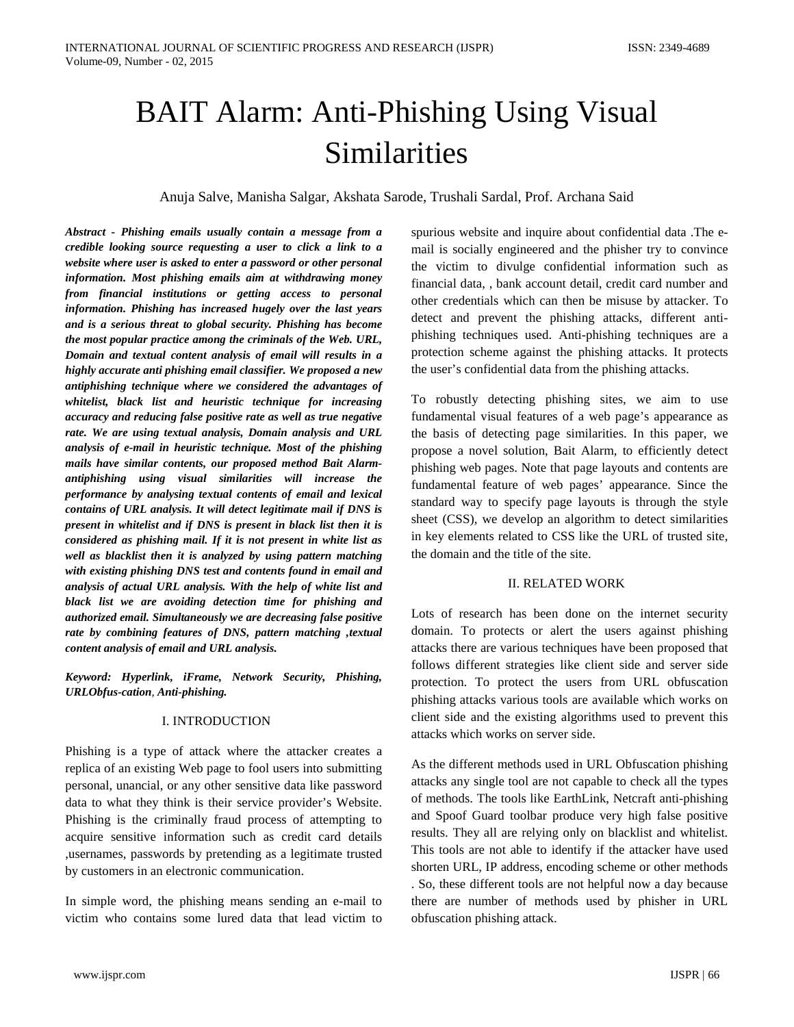# BAIT Alarm: Anti-Phishing Using Visual Similarities

Anuja Salve, Manisha Salgar, Akshata Sarode, Trushali Sardal, Prof. Archana Said

*Abstract - Phishing emails usually contain a message from a credible looking source requesting a user to click a link to a website where user is asked to enter a password or other personal information. Most phishing emails aim at withdrawing money from financial institutions or getting access to personal information. Phishing has increased hugely over the last years and is a serious threat to global security. Phishing has become the most popular practice among the criminals of the Web. URL, Domain and textual content analysis of email will results in a highly accurate anti phishing email classifier. We proposed a new antiphishing technique where we considered the advantages of whitelist, black list and heuristic technique for increasing accuracy and reducing false positive rate as well as true negative rate. We are using textual analysis, Domain analysis and URL analysis of e-mail in heuristic technique. Most of the phishing mails have similar contents, our proposed method Bait Alarmantiphishing using visual similarities will increase the performance by analysing textual contents of email and lexical contains of URL analysis. It will detect legitimate mail if DNS is present in whitelist and if DNS is present in black list then it is considered as phishing mail. If it is not present in white list as well as blacklist then it is analyzed by using pattern matching with existing phishing DNS test and contents found in email and analysis of actual URL analysis. With the help of white list and black list we are avoiding detection time for phishing and authorized email. Simultaneously we are decreasing false positive rate by combining features of DNS, pattern matching ,textual content analysis of email and URL analysis.*

*Keyword: Hyperlink, iFrame, Network Security, Phishing, URLObfus-cation, Anti-phishing.*

# I. INTRODUCTION

Phishing is a type of attack where the attacker creates a replica of an existing Web page to fool users into submitting personal, unancial, or any other sensitive data like password data to what they think is their service provider's Website. Phishing is the criminally fraud process of attempting to acquire sensitive information such as credit card details ,usernames, passwords by pretending as a legitimate trusted by customers in an electronic communication.

In simple word, the phishing means sending an e-mail to victim who contains some lured data that lead victim to

spurious website and inquire about confidential data .The email is socially engineered and the phisher try to convince the victim to divulge confidential information such as financial data, , bank account detail, credit card number and other credentials which can then be misuse by attacker. To detect and prevent the phishing attacks, different antiphishing techniques used. Anti-phishing techniques are a protection scheme against the phishing attacks. It protects the user's confidential data from the phishing attacks.

To robustly detecting phishing sites, we aim to use fundamental visual features of a web page's appearance as the basis of detecting page similarities. In this paper, we propose a novel solution, Bait Alarm, to efficiently detect phishing web pages. Note that page layouts and contents are fundamental feature of web pages' appearance. Since the standard way to specify page layouts is through the style sheet (CSS), we develop an algorithm to detect similarities in key elements related to CSS like the URL of trusted site, the domain and the title of the site.

#### II. RELATED WORK

Lots of research has been done on the internet security domain. To protects or alert the users against phishing attacks there are various techniques have been proposed that follows different strategies like client side and server side protection. To protect the users from URL obfuscation phishing attacks various tools are available which works on client side and the existing algorithms used to prevent this attacks which works on server side.

As the different methods used in URL Obfuscation phishing attacks any single tool are not capable to check all the types of methods. The tools like EarthLink, Netcraft anti-phishing and Spoof Guard toolbar produce very high false positive results. They all are relying only on blacklist and whitelist. This tools are not able to identify if the attacker have used shorten URL, IP address, encoding scheme or other methods . So, these different tools are not helpful now a day because there are number of methods used by phisher in URL obfuscation phishing attack.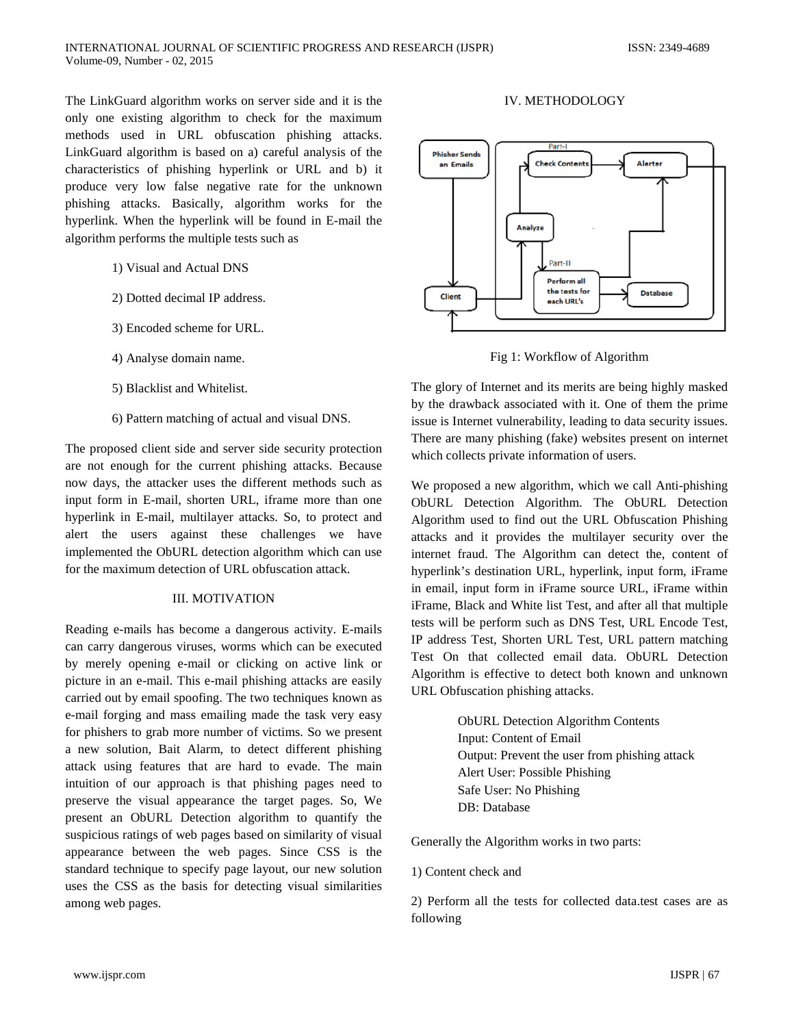The LinkGuard algorithm works on server side and it is the only one existing algorithm to check for the maximum methods used in URL obfuscation phishing attacks. LinkGuard algorithm is based on a) careful analysis of the characteristics of phishing hyperlink or URL and b) it produce very low false negative rate for the unknown phishing attacks. Basically, algorithm works for the hyperlink. When the hyperlink will be found in E-mail the algorithm performs the multiple tests such as

- 1) Visual and Actual DNS
- 2) Dotted decimal IP address.
- 3) Encoded scheme for URL.
- 4) Analyse domain name.
- 5) Blacklist and Whitelist.
- 6) Pattern matching of actual and visual DNS.

The proposed client side and server side security protection are not enough for the current phishing attacks. Because now days, the attacker uses the different methods such as input form in E-mail, shorten URL, iframe more than one hyperlink in E-mail, multilayer attacks. So, to protect and alert the users against these challenges we have implemented the ObURL detection algorithm which can use for the maximum detection of URL obfuscation attack.

#### III. MOTIVATION

Reading e-mails has become a dangerous activity. E-mails can carry dangerous viruses, worms which can be executed by merely opening e-mail or clicking on active link or picture in an e-mail. This e-mail phishing attacks are easily carried out by email spoofing. The two techniques known as e-mail forging and mass emailing made the task very easy for phishers to grab more number of victims. So we present a new solution, Bait Alarm, to detect different phishing attack using features that are hard to evade. The main intuition of our approach is that phishing pages need to preserve the visual appearance the target pages. So, We present an ObURL Detection algorithm to quantify the suspicious ratings of web pages based on similarity of visual appearance between the web pages. Since CSS is the standard technique to specify page layout, our new solution uses the CSS as the basis for detecting visual similarities among web pages.

# IV. METHODOLOGY



Fig 1: Workflow of Algorithm

The glory of Internet and its merits are being highly masked by the drawback associated with it. One of them the prime issue is Internet vulnerability, leading to data security issues. There are many phishing (fake) websites present on internet which collects private information of users.

We proposed a new algorithm, which we call Anti-phishing ObURL Detection Algorithm. The ObURL Detection Algorithm used to find out the URL Obfuscation Phishing attacks and it provides the multilayer security over the internet fraud. The Algorithm can detect the, content of hyperlink's destination URL, hyperlink, input form, iFrame in email, input form in iFrame source URL, iFrame within iFrame, Black and White list Test, and after all that multiple tests will be perform such as DNS Test, URL Encode Test, IP address Test, Shorten URL Test, URL pattern matching Test On that collected email data. ObURL Detection Algorithm is effective to detect both known and unknown URL Obfuscation phishing attacks.

> ObURL Detection Algorithm Contents Input: Content of Email Output: Prevent the user from phishing attack Alert User: Possible Phishing Safe User: No Phishing DB: Database

Generally the Algorithm works in two parts:

#### 1) Content check and

2) Perform all the tests for collected data.test cases are as following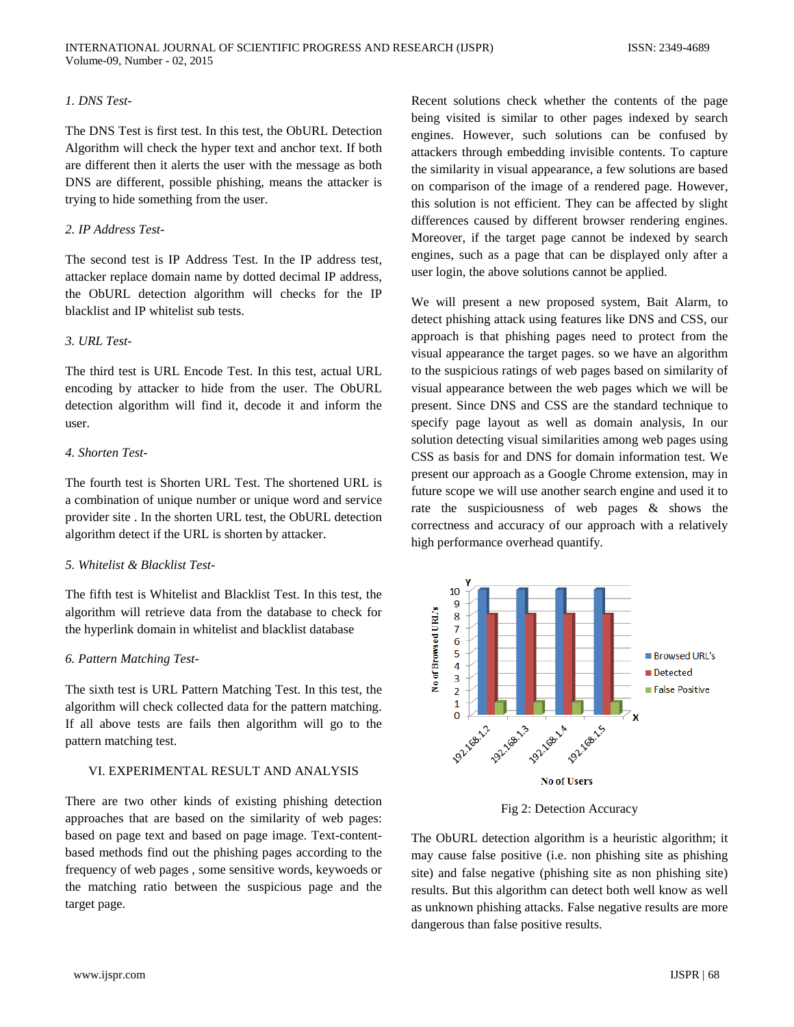# *1. DNS Test-*

The DNS Test is first test. In this test, the ObURL Detection Algorithm will check the hyper text and anchor text. If both are different then it alerts the user with the message as both DNS are different, possible phishing, means the attacker is trying to hide something from the user.

#### *2. IP Address Test-*

The second test is IP Address Test. In the IP address test, attacker replace domain name by dotted decimal IP address, the ObURL detection algorithm will checks for the IP blacklist and IP whitelist sub tests.

## *3. URL Test-*

The third test is URL Encode Test. In this test, actual URL encoding by attacker to hide from the user. The ObURL detection algorithm will find it, decode it and inform the user.

# *4. Shorten Test-*

The fourth test is Shorten URL Test. The shortened URL is a combination of unique number or unique word and service provider site . In the shorten URL test, the ObURL detection algorithm detect if the URL is shorten by attacker.

#### *5. Whitelist & Blacklist Test-*

The fifth test is Whitelist and Blacklist Test. In this test, the algorithm will retrieve data from the database to check for the hyperlink domain in whitelist and blacklist database

#### *6. Pattern Matching Test-*

The sixth test is URL Pattern Matching Test. In this test, the algorithm will check collected data for the pattern matching. If all above tests are fails then algorithm will go to the pattern matching test.

# VI. EXPERIMENTAL RESULT AND ANALYSIS

There are two other kinds of existing phishing detection approaches that are based on the similarity of web pages: based on page text and based on page image. Text-contentbased methods find out the phishing pages according to the frequency of web pages , some sensitive words, keywoeds or the matching ratio between the suspicious page and the target page.

Recent solutions check whether the contents of the page being visited is similar to other pages indexed by search engines. However, such solutions can be confused by attackers through embedding invisible contents. To capture the similarity in visual appearance, a few solutions are based on comparison of the image of a rendered page. However, this solution is not efficient. They can be affected by slight differences caused by different browser rendering engines. Moreover, if the target page cannot be indexed by search engines, such as a page that can be displayed only after a user login, the above solutions cannot be applied.

We will present a new proposed system, Bait Alarm, to detect phishing attack using features like DNS and CSS, our approach is that phishing pages need to protect from the visual appearance the target pages. so we have an algorithm to the suspicious ratings of web pages based on similarity of visual appearance between the web pages which we will be present. Since DNS and CSS are the standard technique to specify page layout as well as domain analysis, In our solution detecting visual similarities among web pages using CSS as basis for and DNS for domain information test. We present our approach as a Google Chrome extension, may in future scope we will use another search engine and used it to rate the suspiciousness of web pages & shows the correctness and accuracy of our approach with a relatively high performance overhead quantify.



Fig 2: Detection Accuracy

The ObURL detection algorithm is a heuristic algorithm; it may cause false positive (i.e. non phishing site as phishing site) and false negative (phishing site as non phishing site) results. But this algorithm can detect both well know as well as unknown phishing attacks. False negative results are more dangerous than false positive results.